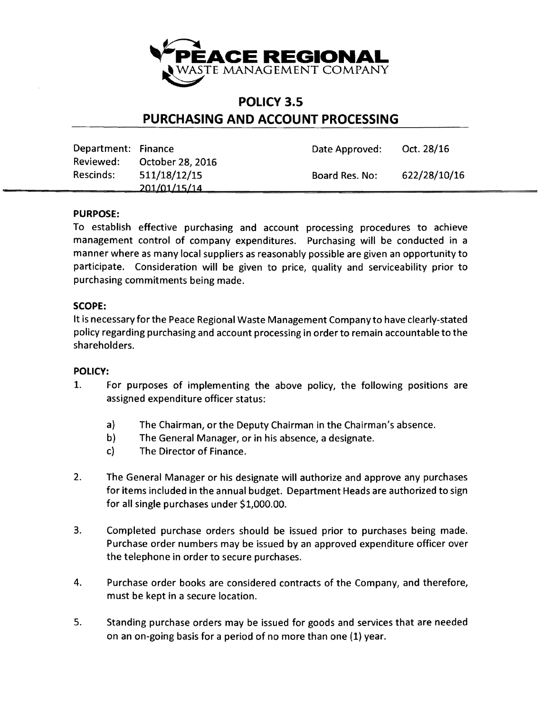

## **POLICY** 3.5 **PURCHASING AND ACCOUNT PROCESSING**

| Department: Finance |                  | Date Approved: | Oct. 28/16   |
|---------------------|------------------|----------------|--------------|
| Reviewed:           | October 28, 2016 |                |              |
| Rescinds:           | 511/18/12/15     | Board Res. No: | 622/28/10/16 |
|                     | 201/01/15/14     |                |              |

## PURPOSE:

To establish effective purchasing and account processing procedures to achieve management control of company expenditures. Purchasing will be conducted in a manner where as many local suppliers as reasonably possible are given an opportunity to participate. Consideration will be given to price, quality and serviceability prior to purchasing commitments being made.

## SCOPE:

It is necessary for the Peace Regional Waste Management Company to have clearly-stated policy regarding purchasing and account processing in order to remain accountable to the shareholders.

## POLICY:

- 1. For purposes of implementing the above policy, the following positions are assigned expenditure officer status:
	- a) The Chairman, or the Deputy Chairman in the Chairman's absence.
	- b) The General Manager, or in his absence, a designate.
	- c) The Director of Finance.
- 2. The General Manager or his designate will authorize and approve any purchases for items included in the annual budget. Department Heads are authorized to sign for all single purchases under \$1,000.00.
- 3. Completed purchase orders should be issued prior to purchases being made. Purchase order numbers may be issued by an approved expenditure officer over the telephone in order to secure purchases.
- 4. Purchase order books are considered contracts of the Company, and therefore, must be kept in a secure location.
- 5. Standing purchase orders may be issued for goods and services that are needed on an on-going basis for a period of no more than one (1) year.